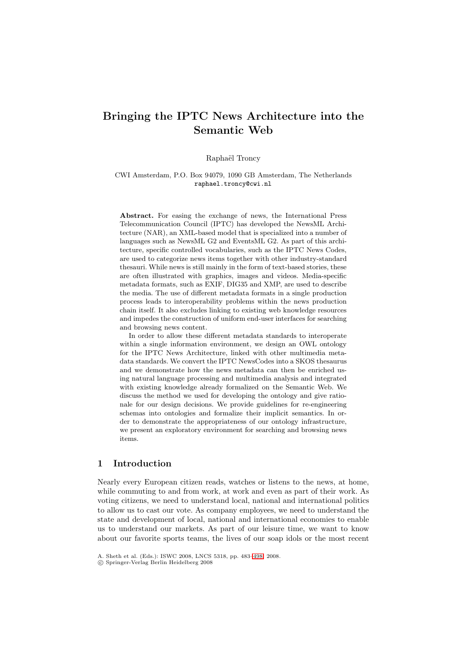# **Bringing the IPTC News Architecture into the Semantic Web**

## Raphaël Troncy

## CWI Amsterdam, P.O. Box 94079, 1090 GB Amsterdam, The Netherlands raphael.troncy@cwi.nl

**Abstract.** For easing the exchange of news, the International Press Telecommunication Council (IPTC) has developed the NewsML Architecture (NAR), an XML-based model that is specialized into a number of languages such as NewsML G2 and EventsML G2. As part of this architecture, specific controlled vocabularies, such as the IPTC News Codes, are used to categorize news items together with other industry-standard thesauri. While news is still mainly in the form of text-based stories, these are often illustrated with graphics, images and videos. Media-specific metadata formats, such as EXIF, DIG35 and XMP, are used to describe the media. The use of different metadata formats in a single production process leads to interoperability problems within the news production chain itself. It also excludes linking to existing web knowledge resources and impedes the construction of uniform end-user interfaces for searching and browsing news content.

In order to allow these different metadata standards to interoperate within a single information environment, we design an OWL ontology for the IPTC News Architecture, linked with other multimedia metadata standards. We convert the IPTC NewsCodes into a SKOS thesaurus and we demonstrate how the news metadata can then be enriched using natural language processing and multimedia analysis and integrated with existing knowledge already formalized on the Semantic Web. We discuss the method we used for developing the ontology and give rationale for our design decisions. We provide guidelines for re-engineering schemas into ontologies and formalize their implicit semantics. In order to demonstrate the appropriateness of our ontology infrastructure, we present an exploratory environment for searching and browsing news items.

## **1 Introduction**

Nearly every European citizen reads, watches or listens to the news, at home, while commuting to and from work, at work and even as part of their work. As voting citizens, we need to understand local, national and international politics to allow us to cast our vote. As company employees, we need to understand the state and development of local, national and international economies to enable us to understand our markets. As part of our leisure time, we want to know about our favorite sports teams, the lives of our soap idols or the most recent

A. Sheth et al. (Eds.): ISWC 2008, LNCS 5318, pp. 483[–498,](#page-14-0) 2008.

<sup>-</sup>c Springer-Verlag Berlin Heidelberg 2008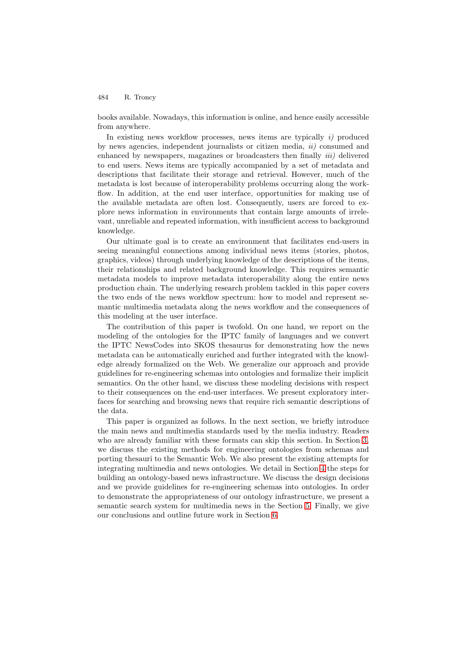books available. Nowadays, this information is online, and hence easily accessible from anywhere.

In existing news workflow processes, news items are typically *i)* produced by news agencies, independent journalists or citizen media, *ii)* consumed and enhanced by newspapers, magazines or broadcasters then finally *iii)* delivered to end users. News items are typically accompanied by a set of metadata and descriptions that facilitate their storage and retrieval. However, much of the metadata is lost because of interoperability problems occurring along the workflow. In addition, at the end user interface, opportunities for making use of the available metadata are often lost. Consequently, users are forced to explore news information in environments that contain large amounts of irrelevant, unreliable and repeated information, with insufficient access to background knowledge.

Our ultimate goal is to create an environment that facilitates end-users in seeing meaningful connections among individual news items (stories, photos, graphics, videos) through underlying knowledge of the descriptions of the items, their relationships and related background knowledge. This requires semantic metadata models to improve metadata interoperability along the entire news production chain. The underlying research problem tackled in this paper covers the two ends of the news workflow spectrum: how to model and represent semantic multimedia metadata along the news workflow and the consequences of this modeling at the user interface.

The contribution of this paper is twofold. On one hand, we report on the modeling of the ontologies for the IPTC family of languages and we convert the IPTC NewsCodes into SKOS thesaurus for demonstrating how the news metadata can be automatically enriched and further integrated with the knowledge already formalized on the Web. We generalize our approach and provide guidelines for re-engineering schemas into ontologies and formalize their implicit semantics. On the other hand, we discuss these modeling decisions with respect to their consequences on the end-user interfaces. We present exploratory interfaces for searching and browsing news that require rich semantic descriptions of the data.

This paper is organized as follows. In the next section, we briefly introduce the main news and multimedia standards used by the media industry. Readers who are already familiar with these formats can skip this section. In Section [3,](#page-3-0) we discuss the existing methods for engineering ontologies from schemas and porting thesauri to the Semantic Web. We also present the existing attempts for integrating multimedia and news ontologies. We detail in Section [4](#page-5-0) the steps for building an ontology-based news infrastructure. We discuss the design decisions and we provide guidelines for re-engineering schemas into ontologies. In order to demonstrate the appropriateness of our ontology infrastructure, we present a semantic search system for multimedia news in the Section [5.](#page-8-0) Finally, we give our conclusions and outline future work in Section [6.](#page-13-0)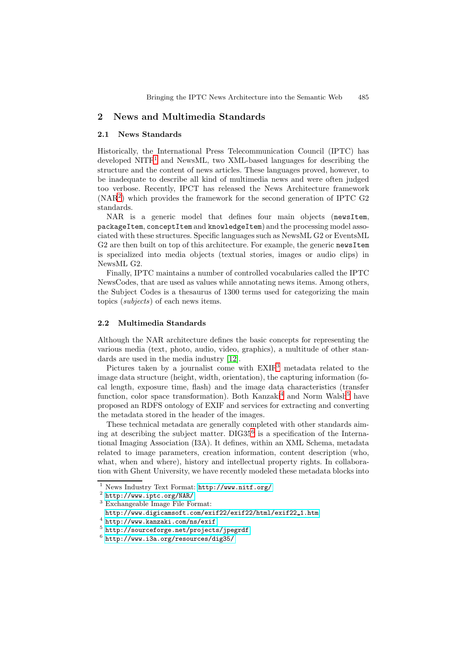# <span id="page-2-6"></span>**2 News and Multimedia Standards**

## **2.1 News Standards**

Historically, the International Press Telecommunication Council (IPTC) has developed  $\text{NITF}^1$  $\text{NITF}^1$  and NewsML, two XML-based languages for describing the structure and the content of news articles. These languages proved, however, to be inadequate to describe all kind of multimedia news and were often judged too verbose. Recently, IPCT has released the News Architecture framework  $(NAR<sup>2</sup>)$  $(NAR<sup>2</sup>)$  $(NAR<sup>2</sup>)$  which provides the framework for the second generation of IPTC G2 standards.

NAR is a generic model that defines four main objects (newsItem, packageItem, conceptItem and knowledgeItem) and the processing model associated with these structures. Specific languages such as NewsML G2 or EventsML G2 are then built on top of this architecture. For example, the generic newsItem is specialized into media objects (textual stories, images or audio clips) in NewsML G2.

Finally, IPTC maintains a number of controlled vocabularies called the IPTC NewsCodes, that are used as values while annotating news items. Among others, the Subject Codes is a thesaurus of 1300 terms used for categorizing the main topics (*subjects*) of each news items.

## <span id="page-2-7"></span>**2.2 Multimedia Standards**

Although the NAR architecture defines the basic concepts for representing the various media (text, photo, audio, video, graphics), a multitude of other standards are used in the media industry [\[12\]](#page-15-0).

Pictures taken by a journalist come with EXIF<sup>[3](#page-2-2)</sup> metadata related to the image data structure (height, width, orientation), the capturing information (focal length, exposure time, flash) and the image data characteristics (transfer function, color space transformation). Both Kanzaki<sup>[4](#page-2-3)</sup> and Norm Walsh<sup>[5](#page-2-4)</sup> have proposed an RDFS ontology of EXIF and services for extracting and converting the metadata stored in the header of the images.

These technical metadata are generally completed with other standards aiming at describing the subject matter.  $\text{DIG}35^6$  $\text{DIG}35^6$  is a specification of the International Imaging Association (I3A). It defines, within an XML Schema, metadata related to image parameters, creation information, content description (who, what, when and where), history and intellectual property rights. In collaboration with Ghent University, we have recently modeled these metadata blocks into

<sup>1</sup> News Industry Text Format: <http://www.nitf.org/>

<span id="page-2-0"></span><sup>2</sup> <http://www.iptc.org/NAR/>

<span id="page-2-1"></span><sup>3</sup> Exchangeable Image File Format:

[http://www.digicamsoft.com/exif22/exif22/html/exif22](http://www.digicamsoft.com/exif22/exif22/html/exif22_1.htm) 1.htm

<span id="page-2-2"></span><sup>4</sup> <http://www.kanzaki.com/ns/exif>

<span id="page-2-3"></span><sup>5</sup> <http://sourceforge.net/projects/jpegrdf>

<span id="page-2-5"></span><span id="page-2-4"></span> $6$  <http://www.i3a.org/resources/dig35/>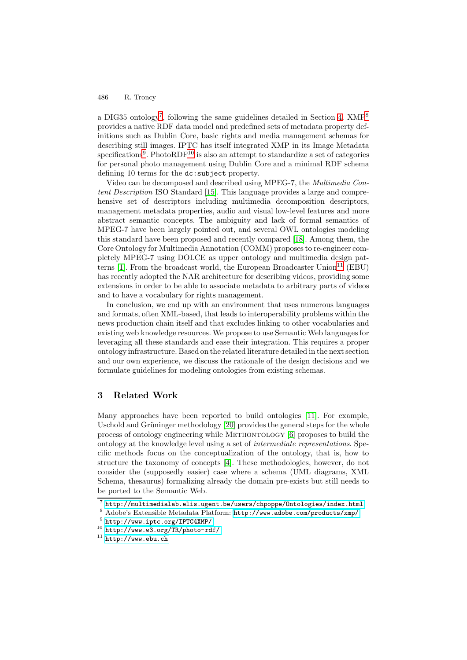a DIG35 ontology<sup>[7](#page-3-1)</sup>, following the same guidelines detailed in Section [4.](#page-5-0)  $XMP<sup>8</sup>$  $XMP<sup>8</sup>$  $XMP<sup>8</sup>$ provides a native RDF data model and predefined sets of metadata property definitions such as Dublin Core, basic rights and media management schemas for describing still images. IPTC has itself integrated XMP in its Image Metadata specifications<sup>[9](#page-3-3)</sup>. PhotoRDF<sup>[10](#page-3-4)</sup> is also an attempt to standardize a set of categories for personal photo management using Dublin Core and a minimal RDF schema defining 10 terms for the dc:subject property.

Video can be decomposed and described using MPEG-7, the *Multimedia Content Description* ISO Standard [\[15\]](#page-15-1). This language provides a large and comprehensive set of descriptors including multimedia decomposition descriptors, management metadata properties, audio and visual low-level features and more abstract semantic concepts. The ambiguity and lack of formal semantics of MPEG-7 have been largely pointed out, and several OWL ontologies modeling this standard have been proposed and recently compared [\[18\]](#page-15-2). Among them, the Core Ontology for Multimedia Annotation (COMM) proposes to re-engineer completely MPEG-7 using DOLCE as upper ontology and multimedia design patterns  $[1]$ . From the broadcast world, the European Broadcaster Union<sup>[11](#page-3-5)</sup> (EBU) has recently adopted the NAR architecture for describing videos, providing some extensions in order to be able to associate metadata to arbitrary parts of videos and to have a vocabulary for rights management.

In conclusion, we end up with an environment that uses numerous languages and formats, often XML-based, that leads to interoperability problems within the news production chain itself and that excludes linking to other vocabularies and existing web knowledge resources. We propose to use Semantic Web languages for leveraging all these standards and ease their integration. This requires a proper ontology infrastructure. Based on the related literature detailed in the next section and our own experience, we discuss the rationale of the design decisions and we formulate guidelines for modeling ontologies from existing schemas.

# <span id="page-3-0"></span>**3 Related Work**

Many approaches have been reported to build ontologies [\[11\]](#page-15-3). For example, Uschold and Grüninger methodology  $[20]$  provides the general steps for the whole process of ontology engineering while Methontology [\[6\]](#page-14-2) proposes to build the ontology at the knowledge level using a set of *intermediate representations*. Specific methods focus on the conceptualization of the ontology, that is, how to structure the taxonomy of concepts [\[4\]](#page-14-3). These methodologies, however, do not consider the (supposedly easier) case where a schema (UML diagrams, XML Schema, thesaurus) formalizing already the domain pre-exists but still needs to be ported to the Semantic Web.

<span id="page-3-1"></span><sup>8</sup> Adobe's Extensible Metadata Platform: <http://www.adobe.com/products/xmp/>

<sup>7</sup> <http://multimedialab.elis.ugent.be/users/chpoppe/Ontologies/index.html>

<sup>9</sup> <http://www.iptc.org/IPTC4XMP/>

<span id="page-3-3"></span><span id="page-3-2"></span> $^{10}$ <http://www.w3.org/TR/photo-rdf/>

<span id="page-3-5"></span><span id="page-3-4"></span> $11$  <http://www.ebu.ch>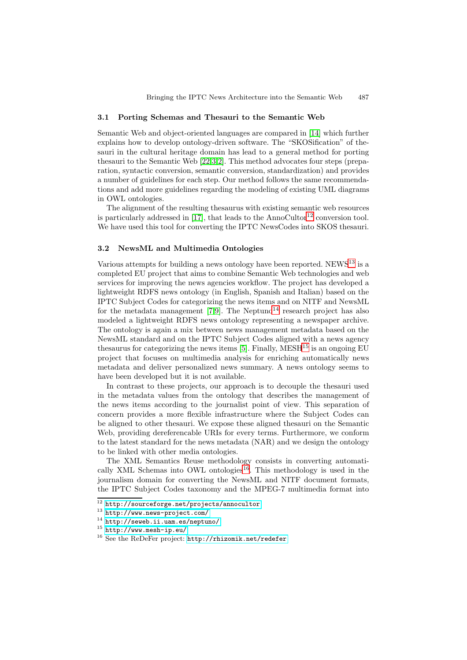#### **3.1 Porting Schemas and Thesauri to the Semantic Web**

Semantic Web and object-oriented languages are compared in [\[14\]](#page-15-5) which further explains how to develop ontology-driven software. The "SKOSification" of thesauri in the cultural heritage domain has lead to a general method for porting thesauri to the Semantic Web [\[22](#page-15-6)[,3,](#page-14-4)[2\]](#page-14-5). This method advocates four steps (preparation, syntactic conversion, semantic conversion, standardization) and provides a number of guidelines for each step. Our method follows the same recommendations and add more guidelines regarding the modeling of existing UML diagrams in OWL ontologies.

The alignment of the resulting thesaurus with existing semantic web resources is particularly addressed in  $[17]$ , that leads to the AnnoCultor<sup>[12](#page-4-0)</sup> conversion tool. We have used this tool for converting the IPTC NewsCodes into SKOS thesauri.

## **3.2 NewsML and Multimedia Ontologies**

Various attempts for building a news ontology have been reported.  $NEWS^{13}$  $NEWS^{13}$  $NEWS^{13}$  is a completed EU project that aims to combine Semantic Web technologies and web services for improving the news agencies workflow. The project has developed a lightweight RDFS news ontology (in English, Spanish and Italian) based on the IPTC Subject Codes for categorizing the news items and on NITF and NewsML for the metadata management  $[7,9]$  $[7,9]$ . The Neptuno<sup>[14](#page-4-2)</sup> research project has also modeled a lightweight RDFS news ontology representing a newspaper archive. The ontology is again a mix between news management metadata based on the NewsML standard and on the IPTC Subject Codes aligned with a news agency thesaurus for categorizing the news items  $[5]$ . Finally, MESH<sup>[15](#page-4-3)</sup> is an ongoing EU project that focuses on multimedia analysis for enriching automatically news metadata and deliver personalized news summary. A news ontology seems to have been developed but it is not available.

In contrast to these projects, our approach is to decouple the thesauri used in the metadata values from the ontology that describes the management of the news items according to the journalist point of view. This separation of concern provides a more flexible infrastructure where the Subject Codes can be aligned to other thesauri. We expose these aligned thesauri on the Semantic Web, providing dereferencable URIs for every terms. Furthermore, we conform to the latest standard for the news metadata (NAR) and we design the ontology to be linked with other media ontologies.

The XML Semantics Reuse methodology consists in converting automati-cally XML Schemas into OWL ontologies<sup>[16](#page-4-4)</sup>. This methodology is used in the journalism domain for converting the NewsML and NITF document formats, the IPTC Subject Codes taxonomy and the MPEG-7 multimedia format into

<sup>12</sup> <http://sourceforge.net/projects/annocultor>

<span id="page-4-0"></span><sup>13</sup> <http://www.news-project.com/>

<span id="page-4-1"></span><sup>14</sup> <http://seweb.ii.uam.es/neptuno/>

<span id="page-4-2"></span><sup>15</sup> <http://www.mesh-ip.eu/>

<span id="page-4-4"></span><span id="page-4-3"></span><sup>16</sup> See the ReDeFer project: <http://rhizomik.net/redefer>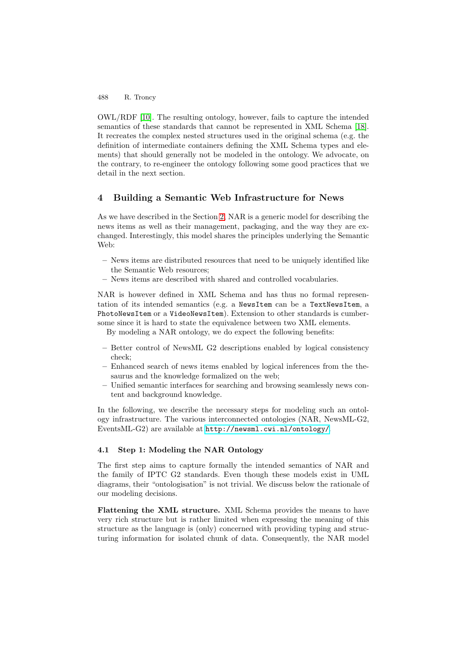OWL/RDF [\[10\]](#page-15-9). The resulting ontology, however, fails to capture the intended semantics of these standards that cannot be represented in XML Schema [\[18\]](#page-15-2). It recreates the complex nested structures used in the original schema (e.g. the definition of intermediate containers defining the XML Schema types and elements) that should generally not be modeled in the ontology. We advocate, on the contrary, to re-engineer the ontology following some good practices that we detail in the next section.

## <span id="page-5-0"></span>**4 Building a Semantic Web Infrastructure for News**

As we have described in the Section [2,](#page-2-6) NAR is a generic model for describing the news items as well as their management, packaging, and the way they are exchanged. Interestingly, this model shares the principles underlying the Semantic Web:

- **–** News items are distributed resources that need to be uniquely identified like the Semantic Web resources;
- **–** News items are described with shared and controlled vocabularies.

NAR is however defined in XML Schema and has thus no formal representation of its intended semantics (e.g. a NewsItem can be a TextNewsItem, a PhotoNewsItem or a VideoNewsItem). Extension to other standards is cumbersome since it is hard to state the equivalence between two XML elements.

By modeling a NAR ontology, we do expect the following benefits:

- **–** Better control of NewsML G2 descriptions enabled by logical consistency check;
- **–** Enhanced search of news items enabled by logical inferences from the thesaurus and the knowledge formalized on the web;
- **–** Unified semantic interfaces for searching and browsing seamlessly news content and background knowledge.

In the following, we describe the necessary steps for modeling such an ontology infrastructure. The various interconnected ontologies (NAR, NewsML-G2, EventsML-G2) are available at <http://newsml.cwi.nl/ontology/>.

## **4.1 Step 1: Modeling the NAR Ontology**

The first step aims to capture formally the intended semantics of NAR and the family of IPTC G2 standards. Even though these models exist in UML diagrams, their "ontologisation" is not trivial. We discuss below the rationale of our modeling decisions.

**Flattening the XML structure.** XML Schema provides the means to have very rich structure but is rather limited when expressing the meaning of this structure as the language is (only) concerned with providing typing and structuring information for isolated chunk of data. Consequently, the NAR model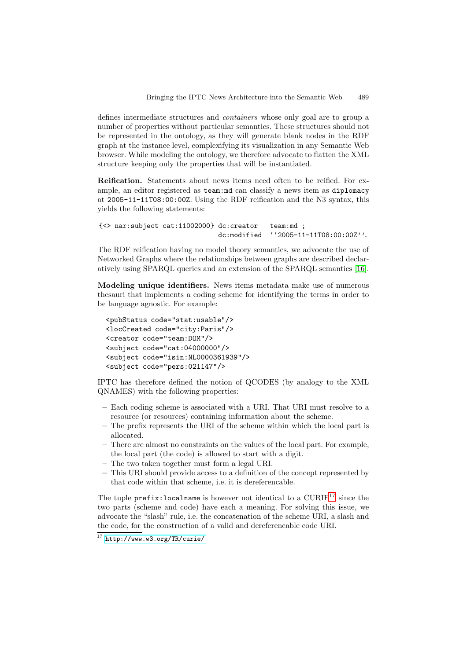defines intermediate structures and *containers* whose only goal are to group a number of properties without particular semantics. These structures should not be represented in the ontology, as they will generate blank nodes in the RDF graph at the instance level, complexifying its visualization in any Semantic Web browser. While modeling the ontology, we therefore advocate to flatten the XML structure keeping only the properties that will be instantiated.

**Reification.** Statements about news items need often to be reified. For example, an editor registered as team:md can classify a news item as diplomacy at 2005-11-11T08:00:00Z. Using the RDF reification and the N3 syntax, this yields the following statements:

```
{<> nar:subject cat:11002000} dc:creator team:md ;
                             dc:modified ''2005-11-11T08:00:00Z''.
```
The RDF reification having no model theory semantics, we advocate the use of Networked Graphs where the relationships between graphs are described declaratively using SPARQL queries and an extension of the SPARQL semantics [\[16\]](#page-15-10).

**Modeling unique identifiers.** News items metadata make use of numerous thesauri that implements a coding scheme for identifying the terms in order to be language agnostic. For example:

```
<pubStatus code="stat:usable"/>
<locCreated code="city:Paris"/>
<creator code="team:DOM"/>
<subject code="cat:04000000"/>
<subject code="isin:NL0000361939"/>
<subject code="pers:021147"/>
```
IPTC has therefore defined the notion of QCODES (by analogy to the XML QNAMES) with the following properties:

- **–** Each coding scheme is associated with a URI. That URI must resolve to a resource (or resources) containing information about the scheme.
- **–** The prefix represents the URI of the scheme within which the local part is allocated.
- **–** There are almost no constraints on the values of the local part. For example, the local part (the code) is allowed to start with a digit.
- **–** The two taken together must form a legal URI.
- **–** This URI should provide access to a definition of the concept represented by that code within that scheme, i.e. it is dereferencable.

The tuple  $prefix:localhost$  is however not identical to a  $CURL<sup>17</sup>$  $CURL<sup>17</sup>$  $CURL<sup>17</sup>$  since the two parts (scheme and code) have each a meaning. For solving this issue, we advocate the "slash" rule, i.e. the concatenation of the scheme URI, a slash and the code, for the construction of a valid and dereferencable code URI.

<span id="page-6-0"></span> $\frac{17}{17}$  <http://www.w3.org/TR/curie/>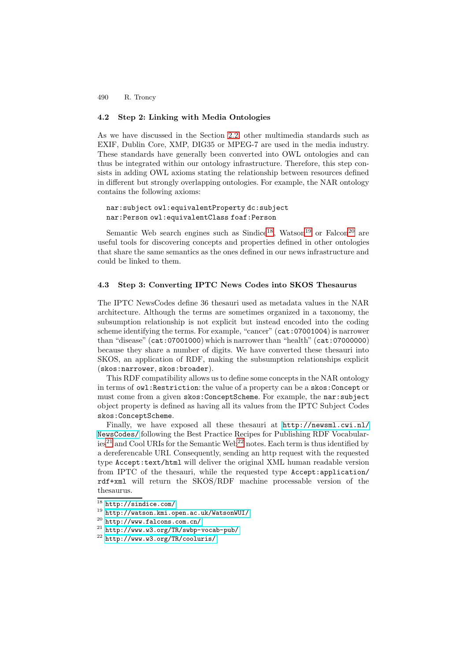# **4.2 Step 2: Linking with Media Ontologies**

As we have discussed in the Section [2.2,](#page-2-7) other multimedia standards such as EXIF, Dublin Core, XMP, DIG35 or MPEG-7 are used in the media industry. These standards have generally been converted into OWL ontologies and can thus be integrated within our ontology infrastructure. Therefore, this step consists in adding OWL axioms stating the relationship between resources defined in different but strongly overlapping ontologies. For example, the NAR ontology contains the following axioms:

## nar:subject owl:equivalentProperty dc:subject nar:Person owl:equivalentClass foaf:Person

Semantic Web search engines such as Sindice<sup>[18](#page-7-0)</sup>, Watson<sup>[19](#page-7-1)</sup> or Falcon<sup>[20](#page-7-2)</sup> are useful tools for discovering concepts and properties defined in other ontologies that share the same semantics as the ones defined in our news infrastructure and could be linked to them.

## **4.3 Step 3: Converting IPTC News Codes into SKOS Thesaurus**

The IPTC NewsCodes define 36 thesauri used as metadata values in the NAR architecture. Although the terms are sometimes organized in a taxonomy, the subsumption relationship is not explicit but instead encoded into the coding scheme identifying the terms. For example, "cancer" (cat:07001004) is narrower than "disease" (cat:07001000) which is narrower than "health" (cat:07000000) because they share a number of digits. We have converted these thesauri into SKOS, an application of RDF, making the subsumption relationships explicit (skos:narrower, skos:broader).

This RDF compatibility allows us to define some concepts in the NAR ontology in terms of owl:Restriction: the value of a property can be a skos:Concept or must come from a given skos:ConceptScheme. For example, the nar:subject object property is defined as having all its values from the IPTC Subject Codes skos:ConceptScheme.

Finally, we have exposed all these thesauri at <http://newsml.cwi.nl/> <NewsCodes/> following the Best Practice Recipes for Publishing RDF Vocabular-ies<sup>[21](#page-7-3)</sup> and Cool URIs for the Semantic Web<sup>[22](#page-7-4)</sup> notes. Each term is thus identified by a dereferencable URI. Consequently, sending an http request with the requested type Accept:text/html will deliver the original XML human readable version from IPTC of the thesauri, while the requested type Accept:application/ rdf+xml will return the SKOS/RDF machine processable version of the thesaurus.

<sup>18</sup> <http://sindice.com/>

<span id="page-7-0"></span><sup>19</sup> <http://watson.kmi.open.ac.uk/WatsonWUI/>

<span id="page-7-1"></span><sup>20</sup> <http://www.falcons.com.cn/>

<span id="page-7-2"></span><sup>21</sup> <http://www.w3.org/TR/swbp-vocab-pub/>

<span id="page-7-4"></span><span id="page-7-3"></span><sup>22</sup> <http://www.w3.org/TR/cooluris/>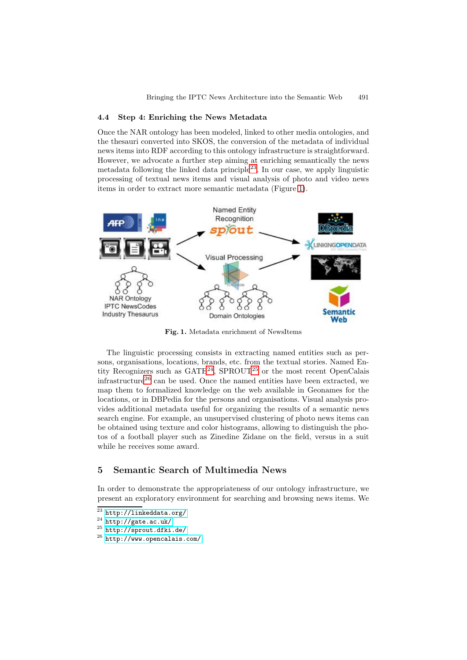## **4.4 Step 4: Enriching the News Metadata**

Once the NAR ontology has been modeled, linked to other media ontologies, and the thesauri converted into SKOS, the conversion of the metadata of individual news items into RDF according to this ontology infrastructure is straightforward. However, we advocate a further step aiming at enriching semantically the news metadata following the linked data principle<sup>[23](#page-8-1)</sup>. In our case, we apply linguistic processing of textual news items and visual analysis of photo and video news items in order to extract more semantic metadata (Figure [1\)](#page-8-2).



<span id="page-8-2"></span>**Fig. 1.** Metadata enrichment of NewsItems

The linguistic processing consists in extracting named entities such as persons, organisations, locations, brands, etc. from the textual stories. Named Entity Recognizers such as  $GATE^{24}$  $GATE^{24}$  $GATE^{24}$ ,  $SPROUT^{25}$  $SPROUT^{25}$  $SPROUT^{25}$  or the most recent OpenCalais infrastructure<sup>[26](#page-8-5)</sup> can be used. Once the named entities have been extracted, we map them to formalized knowledge on the web available in Geonames for the locations, or in DBPedia for the persons and organisations. Visual analysis provides additional metadata useful for organizing the results of a semantic news search engine. For example, an unsupervised clustering of photo news items can be obtained using texture and color histograms, allowing to distinguish the photos of a football player such as Zinedine Zidane on the field, versus in a suit while he receives some award.

# <span id="page-8-0"></span>**5 Semantic Search of Multimedia News**

In order to demonstrate the appropriateness of our ontology infrastructure, we present an exploratory environment for searching and browsing news items. We

 $\frac{1}{23 \text{ http://linkeddata.org/}}$  $\frac{1}{23 \text{ http://linkeddata.org/}}$  $\frac{1}{23 \text{ http://linkeddata.org/}}$ 

<span id="page-8-1"></span> $^{24}$  <http://gate.ac.uk/>

<span id="page-8-3"></span> $^{25}$ <http://sprout.dfki.de/>

<span id="page-8-5"></span><span id="page-8-4"></span><sup>26</sup> <http://www.opencalais.com/>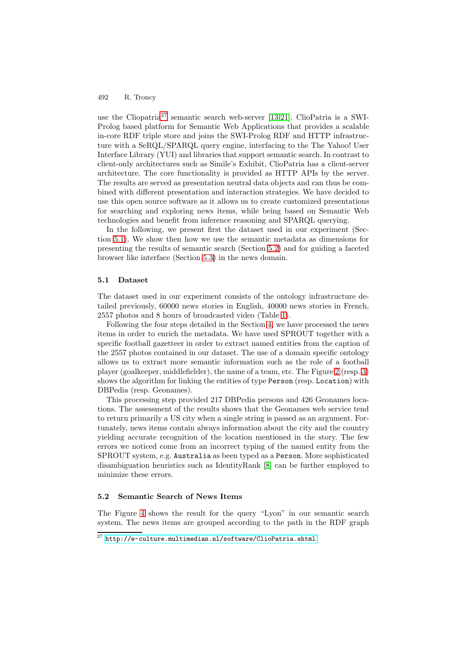use the Cliopatria[27](#page-9-0) semantic search web-server [\[13,](#page-15-11)[21\]](#page-15-12). ClioPatria is a SWI-Prolog based platform for Semantic Web Applications that provides a scalable in-core RDF triple store and joins the SWI-Prolog RDF and HTTP infrastructure with a SeRQL/SPARQL query engine, interfacing to the The Yahoo! User Interface Library (YUI) and libraries that support semantic search. In contrast to client-only architectures such as Simile's Exhibit, ClioPatria has a client-server architecture. The core functionality is provided as HTTP APIs by the server. The results are served as presentation neutral data objects and can thus be combined with different presentation and interaction strategies. We have decided to use this open source software as it allows us to create customized presentations for searching and exploring news items, while being based on Semantic Web technologies and benefit from inference reasoning and SPARQL querying.

In the following, we present first the dataset used in our experiment (Section [5.1\)](#page-9-1). We show then how we use the semantic metadata as dimensions for presenting the results of semantic search (Section [5.2\)](#page-9-2) and for guiding a faceted browser like interface (Section [5.3\)](#page-11-0) in the news domain.

#### <span id="page-9-1"></span>**5.1 Dataset**

The dataset used in our experiment consists of the ontology infrastructure detailed previously, 60000 news stories in English, 40000 news stories in French, 2557 photos and 8 hours of broadcasted video (Table [1\)](#page-10-0).

Following the four steps detailed in the Section [4,](#page-5-0) we have processed the news items in order to enrich the metadata. We have used SPROUT together with a specific football gazetteer in order to extract named entities from the caption of the 2557 photos contained in our dataset. The use of a domain specific ontology allows us to extract more semantic information such as the role of a football player (goalkeeper, middlefielder), the name of a team, etc. The Figure [2](#page-10-1) (resp. [3\)](#page-11-1) shows the algorithm for linking the entities of type Person (resp. Location) with DBPedia (resp. Geonames).

This processing step provided 217 DBPedia persons and 426 Geonames locations. The assessment of the results shows that the Geonames web service tend to return primarily a US city when a single string is passed as an argument. Fortunately, news items contain always information about the city and the country yielding accurate recognition of the location mentioned in the story. The few errors we noticed come from an incorrect typing of the named entity from the SPROUT system, e.g. Australia as been typed as a Person. More sophisticated disambiguation heuristics such as IdentityRank [\[8\]](#page-14-8) can be further employed to minimize these errors.

#### <span id="page-9-2"></span>**5.2 Semantic Search of News Items**

The Figure [4](#page-11-2) shows the result for the query "Lyon" in our semantic search system. The news items are grouped according to the path in the RDF graph

<span id="page-9-0"></span><sup>27</sup> <http://e-culture.multimedian.nl/software/ClioPatria.shtml>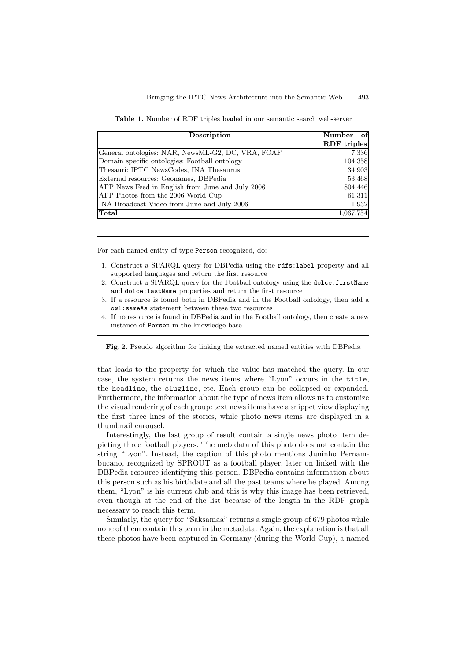|  |  |  |  | <b>Table 1.</b> Number of RDF triples loaded in our semantic search web-server |  |
|--|--|--|--|--------------------------------------------------------------------------------|--|
|  |  |  |  |                                                                                |  |

<span id="page-10-0"></span>

| Description                                       | Number of          |  |
|---------------------------------------------------|--------------------|--|
|                                                   | <b>RDF</b> triples |  |
| General ontologies: NAR, NewsML-G2, DC, VRA, FOAF | 7,336              |  |
| Domain specific ontologies: Football ontology     | 104,358            |  |
| Thesauri: IPTC NewsCodes, INA Thesaurus           | 34,903             |  |
| External resources: Geonames, DBPedia             | 53,468             |  |
| AFP News Feed in English from June and July 2006  | 804,446            |  |
| AFP Photos from the 2006 World Cup                | 61,311             |  |
| INA Broadcast Video from June and July 2006       | 1,932              |  |
| Total                                             | 1,067.754          |  |

For each named entity of type Person recognized, do:

- 1. Construct a SPARQL query for DBPedia using the rdfs:label property and all supported languages and return the first resource
- 2. Construct a SPARQL query for the Football ontology using the dolce:firstName and dolce:lastName properties and return the first resource
- 3. If a resource is found both in DBPedia and in the Football ontology, then add a owl:sameAs statement between these two resources
- 4. If no resource is found in DBPedia and in the Football ontology, then create a new instance of Person in the knowledge base

#### **Fig. 2.** Pseudo algorithm for linking the extracted named entities with DBPedia

<span id="page-10-1"></span>that leads to the property for which the value has matched the query. In our case, the system returns the news items where "Lyon" occurs in the title, the headline, the slugline, etc. Each group can be collapsed or expanded. Furthermore, the information about the type of news item allows us to customize the visual rendering of each group: text news items have a snippet view displaying the first three lines of the stories, while photo news items are displayed in a thumbnail carousel.

Interestingly, the last group of result contain a single news photo item depicting three football players. The metadata of this photo does not contain the string "Lyon". Instead, the caption of this photo mentions Juninho Pernambucano, recognized by SPROUT as a football player, later on linked with the DBPedia resource identifying this person. DBPedia contains information about this person such as his birthdate and all the past teams where he played. Among them, "Lyon" is his current club and this is why this image has been retrieved, even though at the end of the list because of the length in the RDF graph necessary to reach this term.

Similarly, the query for "Saksamaa" returns a single group of 679 photos while none of them contain this term in the metadata. Again, the explanation is that all these photos have been captured in Germany (during the World Cup), a named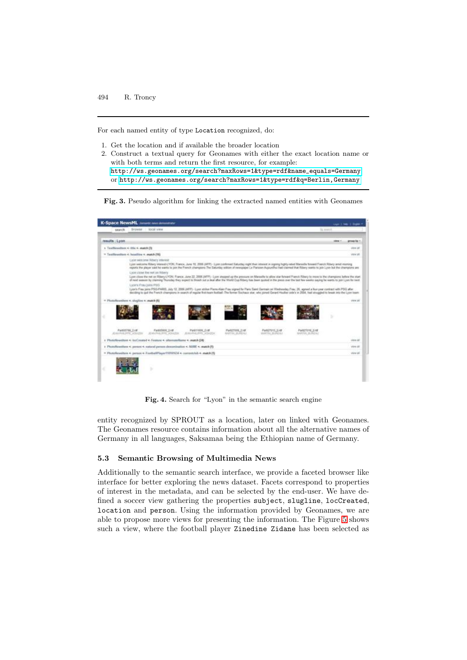For each named entity of type Location recognized, do:

- 1. Get the location and if available the broader location
- 2. Construct a textual query for Geonames with either the exact location name or with both terms and return the first resource, for example: [http://ws.geonames.org/search?maxRows=1&type=rdf&name](http://ws.geonames.org/search?maxRows=1&type=rdf&name_equals=Germany) equals=Germany or <http://ws.geonames.org/search?maxRows=1&type=rdf&q=Berlin,Germany>

Fig. 3. Pseudo algorithm for linking the extracted named entities with Geonames

<span id="page-11-1"></span>

**Fig. 4.** Search for "Lyon" in the semantic search engine

<span id="page-11-2"></span>entity recognized by SPROUT as a location, later on linked with Geonames. The Geonames resource contains information about all the alternative names of Germany in all languages, Saksamaa being the Ethiopian name of Germany.

## <span id="page-11-0"></span>**5.3 Semantic Browsing of Multimedia News**

Additionally to the semantic search interface, we provide a faceted browser like interface for better exploring the news dataset. Facets correspond to properties of interest in the metadata, and can be selected by the end-user. We have defined a soccer view gathering the properties subject, slugline, locCreated, location and person. Using the information provided by Geonames, we are able to propose more views for presenting the information. The Figure [5](#page-12-0) shows such a view, where the football player Zinedine Zidane has been selected as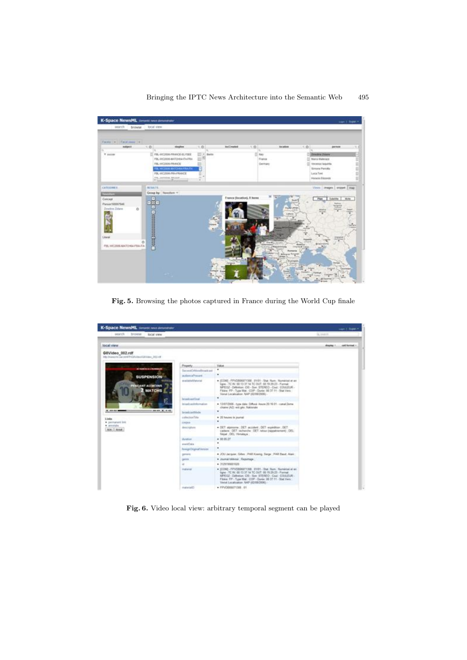

Bringing the IPTC News Architecture into the Semantic Web 495

**Fig. 5.** Browsing the photos captured in France during the World Cup finale

<span id="page-12-0"></span>

| easesth<br><b>DADIATE</b>                                               |                          |                                                                                                                                                                                                                                                                                      | sam E. Baker              |
|-------------------------------------------------------------------------|--------------------------|--------------------------------------------------------------------------------------------------------------------------------------------------------------------------------------------------------------------------------------------------------------------------------------|---------------------------|
| local view                                                              |                          |                                                                                                                                                                                                                                                                                      | SL Execute                |
| <b>Spital view</b>                                                      |                          |                                                                                                                                                                                                                                                                                      | AMERICAN 11<br>disease 1. |
| G8Video 002.rdf<br>Mid-Premieres casi conditivida constitutions  PO2.19 |                          |                                                                                                                                                                                                                                                                                      |                           |
|                                                                         | Property:                | <b>Value</b>                                                                                                                                                                                                                                                                         |                           |
| al temis a cinometri                                                    | Sacsaid Waters Broadcast | ۰                                                                                                                                                                                                                                                                                    |                           |
| <b>SUSPENSION</b>                                                       | automalissed.            | ٠                                                                                                                                                                                                                                                                                    |                           |
| <b>PENDANT ALL MOINS</b><br><b>MATCHS</b>                               | a-islamet/Americal       | . (COM) - FPVDS068T1398 - 21/21 - Stat Tium - Numerisa at an<br>ligns - TC R: 02:13:37:54 TC OUT: 02:19:29:23 - Funnuit<br>MPED2 - Detektor, CO - San STEREO - Coul. COULEUR -<br>F&Ire: FP - Type Mat : COP - Durie: 00:37:11 - Stat View.<br>Versé Localisation: NAP (S2/M/2006) - |                           |
|                                                                         | <b>Intelligential</b>    | ٠                                                                                                                                                                                                                                                                                    |                           |
|                                                                         | Insultatible matter      | . 13/87/2006 - type date: Diffuse - Aware 20: 16:01 - canad 2wms<br>chame (AZ) will get Matismale                                                                                                                                                                                    |                           |
| 1 22 22 10<br><b>LANSKI DÜKUK</b>                                       | broadcardstede           | ×                                                                                                                                                                                                                                                                                    |                           |
| Links:                                                                  | colarios Tale            | . 20 hours is journal.                                                                                                                                                                                                                                                               |                           |
| · pantyphone link                                                       | <b>CASSING</b>           |                                                                                                                                                                                                                                                                                      |                           |
| · annotate<br><b>LEAL EXAM</b>                                          | denciones<br>3792        | . GET alproves . DET scolent : DET exploitur . DET<br>Cabina : DET. Incherche : DET. Infour (opportrament) : DEL<br>filippet : OEL Homateya :                                                                                                                                        |                           |
|                                                                         | Arabian                  | $+ 58.0627$                                                                                                                                                                                                                                                                          |                           |
|                                                                         | armed Chakes             | ٠                                                                                                                                                                                                                                                                                    |                           |
|                                                                         | ResignOnstructure        | ٠                                                                                                                                                                                                                                                                                    |                           |
|                                                                         | percent.                 | . JOU Jacquiet, Gilles   FAR Kueng, Swge : FAR Baud, Alant                                                                                                                                                                                                                           |                           |
|                                                                         | gent is                  | · Journal televisir Elepotage                                                                                                                                                                                                                                                        |                           |
|                                                                         | $\mathcal{L}$            | + 31291906001020                                                                                                                                                                                                                                                                     |                           |
|                                                                         | should serval            | . (COM) - FPVODMETTIES . 21/01 - Stat. Nom. Nomanisé at an<br>6pm - TC IN: 00 13:37:14 TC OUT: 00 19:29:23 - Format<br>MPEG2 - Defention: CIS - Sant STEREO - Coul : COULEUR -<br>Filian: FP - Type Mat. COP - Durie: 00 37 11 - Stat Vars.<br>Vend Localisation, NAP (83/88/2006) - |                           |
|                                                                         | mesond                   | · PPVDBMEP1308 - 81                                                                                                                                                                                                                                                                  |                           |

<span id="page-12-1"></span>**Fig. 6.** Video local view: arbitrary temporal segment can be played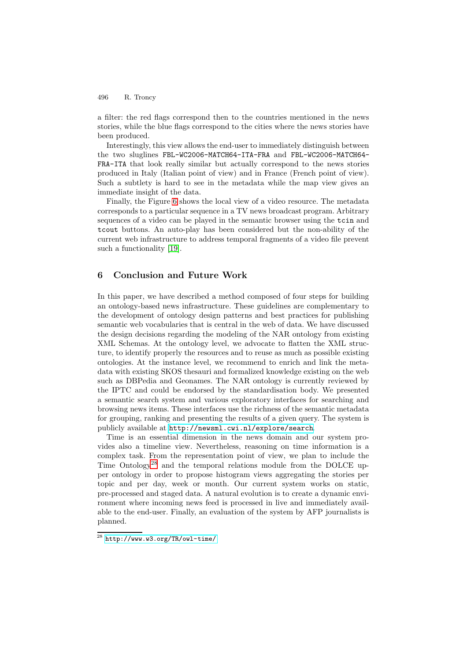a filter: the red flags correspond then to the countries mentioned in the news stories, while the blue flags correspond to the cities where the news stories have been produced.

Interestingly, this view allows the end-user to immediately distinguish between the two sluglines FBL-WC2006-MATCH64-ITA-FRA and FBL-WC2006-MATCH64- FRA-ITA that look really similar but actually correspond to the news stories produced in Italy (Italian point of view) and in France (French point of view). Such a subtlety is hard to see in the metadata while the map view gives an immediate insight of the data.

Finally, the Figure [6](#page-12-1) shows the local view of a video resource. The metadata corresponds to a particular sequence in a TV news broadcast program. Arbitrary sequences of a video can be played in the semantic browser using the tcin and tcout buttons. An auto-play has been considered but the non-ability of the current web infrastructure to address temporal fragments of a video file prevent such a functionality [\[19\]](#page-15-13).

# <span id="page-13-0"></span>**6 Conclusion and Future Work**

In this paper, we have described a method composed of four steps for building an ontology-based news infrastructure. These guidelines are complementary to the development of ontology design patterns and best practices for publishing semantic web vocabularies that is central in the web of data. We have discussed the design decisions regarding the modeling of the NAR ontology from existing XML Schemas. At the ontology level, we advocate to flatten the XML structure, to identify properly the resources and to reuse as much as possible existing ontologies. At the instance level, we recommend to enrich and link the metadata with existing SKOS thesauri and formalized knowledge existing on the web such as DBPedia and Geonames. The NAR ontology is currently reviewed by the IPTC and could be endorsed by the standardisation body. We presented a semantic search system and various exploratory interfaces for searching and browsing news items. These interfaces use the richness of the semantic metadata for grouping, ranking and presenting the results of a given query. The system is publicly available at <http://newsml.cwi.nl/explore/search>.

Time is an essential dimension in the news domain and our system provides also a timeline view. Nevertheless, reasoning on time information is a complex task. From the representation point of view, we plan to include the Time Ontology<sup>[28](#page-13-1)</sup> and the temporal relations module from the DOLCE upper ontology in order to propose histogram views aggregating the stories per topic and per day, week or month. Our current system works on static, pre-processed and staged data. A natural evolution is to create a dynamic environment where incoming news feed is processed in live and immediately available to the end-user. Finally, an evaluation of the system by AFP journalists is planned.

<span id="page-13-1"></span><sup>28</sup> <http://www.w3.org/TR/owl-time/>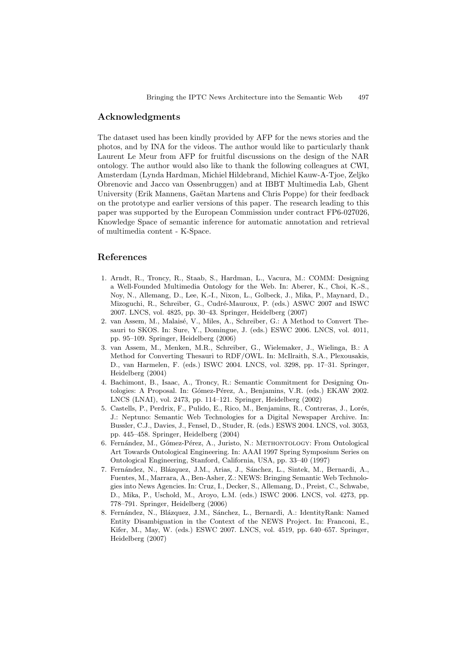## **Acknowledgments**

The dataset used has been kindly provided by AFP for the news stories and the photos, and by INA for the videos. The author would like to particularly thank Laurent Le Meur from AFP for fruitful discussions on the design of the NAR ontology. The author would also like to thank the following colleagues at CWI, Amsterdam (Lynda Hardman, Michiel Hildebrand, Michiel Kauw-A-Tjoe, Zeljko Obrenovic and Jacco van Ossenbruggen) and at IBBT Multimedia Lab, Ghent University (Erik Mannens, Gaëtan Martens and Chris Poppe) for their feedback on the prototype and earlier versions of this paper. The research leading to this paper was supported by the European Commission under contract FP6-027026, Knowledge Space of semantic inference for automatic annotation and retrieval of multimedia content - K-Space.

## <span id="page-14-1"></span><span id="page-14-0"></span>**References**

- 1. Arndt, R., Troncy, R., Staab, S., Hardman, L., Vacura, M.: COMM: Designing a Well-Founded Multimedia Ontology for the Web. In: Aberer, K., Choi, K.-S., Noy, N., Allemang, D., Lee, K.-I., Nixon, L., Golbeck, J., Mika, P., Maynard, D., Mizoguchi, R., Schreiber, G., Cudré-Mauroux, P. (eds.) ASWC 2007 and ISWC 2007. LNCS, vol. 4825, pp. 30–43. Springer, Heidelberg (2007)
- <span id="page-14-5"></span>2. van Assem, M., Malaisé, V., Miles, A., Schreiber, G.: A Method to Convert Thesauri to SKOS. In: Sure, Y., Domingue, J. (eds.) ESWC 2006. LNCS, vol. 4011, pp. 95–109. Springer, Heidelberg (2006)
- <span id="page-14-4"></span>3. van Assem, M., Menken, M.R., Schreiber, G., Wielemaker, J., Wielinga, B.: A Method for Converting Thesauri to RDF/OWL. In: McIlraith, S.A., Plexousakis, D., van Harmelen, F. (eds.) ISWC 2004. LNCS, vol. 3298, pp. 17–31. Springer, Heidelberg (2004)
- <span id="page-14-3"></span>4. Bachimont, B., Isaac, A., Troncy, R.: Semantic Commitment for Designing Ontologies: A Proposal. In: Gómez-Pérez, A., Benjamins, V.R. (eds.) EKAW 2002. LNCS (LNAI), vol. 2473, pp. 114–121. Springer, Heidelberg (2002)
- <span id="page-14-7"></span>5. Castells, P., Perdrix, F., Pulido, E., Rico, M., Benjamins, R., Contreras, J., Lorés, J.: Neptuno: Semantic Web Technologies for a Digital Newspaper Archive. In: Bussler, C.J., Davies, J., Fensel, D., Studer, R. (eds.) ESWS 2004. LNCS, vol. 3053, pp. 445–458. Springer, Heidelberg (2004)
- <span id="page-14-2"></span>6. Fernández, M., Gómez-Pérez, A., Juristo, N.: METHONTOLOGY: From Ontological Art Towards Ontological Engineering. In: AAAI 1997 Spring Symposium Series on Ontological Engineering, Stanford, California, USA, pp. 33–40 (1997)
- <span id="page-14-6"></span>7. Fernández, N., Blázquez, J.M., Arias, J., Sánchez, L., Sintek, M., Bernardi, A., Fuentes, M., Marrara, A., Ben-Asher, Z.: NEWS: Bringing Semantic Web Technologies into News Agencies. In: Cruz, I., Decker, S., Allemang, D., Preist, C., Schwabe, D., Mika, P., Uschold, M., Aroyo, L.M. (eds.) ISWC 2006. LNCS, vol. 4273, pp. 778–791. Springer, Heidelberg (2006)
- <span id="page-14-8"></span>8. Fern´andez, N., Bl´azquez, J.M., S´anchez, L., Bernardi, A.: IdentityRank: Named Entity Disambiguation in the Context of the NEWS Project. In: Franconi, E., Kifer, M., May, W. (eds.) ESWC 2007. LNCS, vol. 4519, pp. 640–657. Springer, Heidelberg (2007)